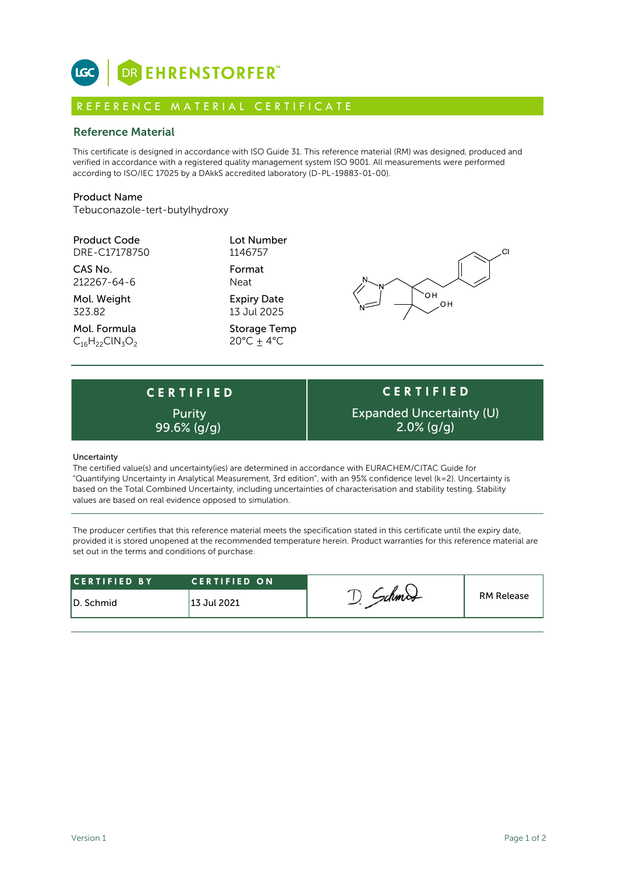

# R E F E R E N C E M A T E R I A L C E R T I F I C A T E

# Reference Material

This certificate is designed in accordance with ISO Guide 31. This reference material (RM) was designed, produced and verified in accordance with a registered quality management system ISO 9001. All measurements were performed according to ISO/IEC 17025 by a DAkkS accredited laboratory (D-PL-19883-01-00).

## Product Name

Tebuconazole-tert-butylhydroxy

| <b>Product Code</b> |
|---------------------|
| DRE-C17178750       |

CAS No. Format 212267-64-6 Neat

Mol. Weight **Expiry Date** 323.82 13 Jul 2025

Mol. Formula Storage Temp  $C_{16}H_{22}CIN_3O_2$  20°C  $\pm$  4°C

**Lot Number** 1146757



**C E R T I F I E D** Purity



### Uncertainty

The certified value(s) and uncertainty(ies) are determined in accordance with EURACHEM/CITAC Guide for "Quantifying Uncertainty in Analytical Measurement, 3rd edition", with an 95% confidence level (k=2). Uncertainty is based on the Total Combined Uncertainty, including uncertainties of characterisation and stability testing. Stability values are based on real evidence opposed to simulation.

The producer certifies that this reference material meets the specification stated in this certificate until the expiry date, provided it is stored unopened at the recommended temperature herein. Product warranties for this reference material are set out in the terms and conditions of purchase.

| <b>RM Release</b><br><sup>1</sup> 13 Jul 2021 | <b>CERTIFIED BY</b> | <b>CERTIFIED ON</b> |  |  |
|-----------------------------------------------|---------------------|---------------------|--|--|
|                                               | ID. Schmid          |                     |  |  |